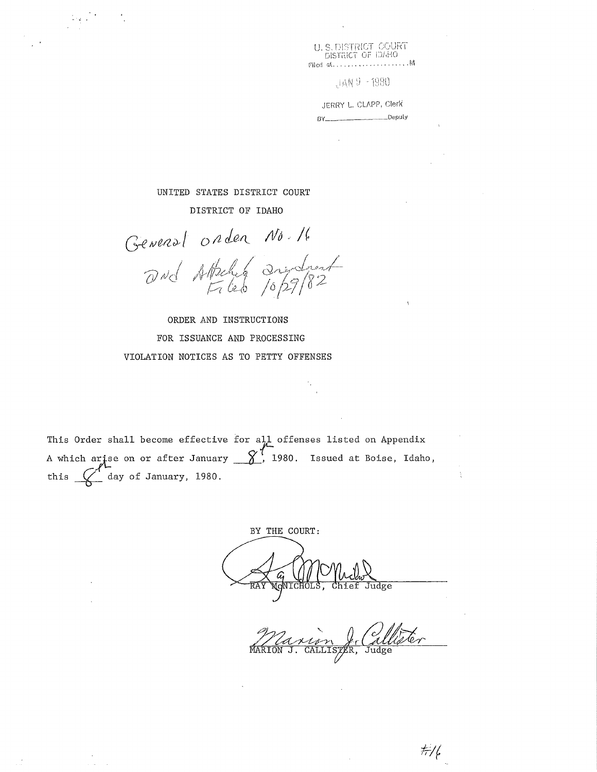U. S. DISTRICT : COURT DISTRICT OF IDAHO **filed** •:it.,. . . . . , ..... , , , . M

:jAN 9 - 1980

JERRY L. CLAPP, Clerk oy \_\_\_\_\_\_ Deputy

UNITED STATES DISTRICT COURT

- J

 $\tau$  ,  $\tau$  $\sim$  DISTRICT OF IDAHO

General order No.16<br>and Attalia andread

ORDER AND INSTRUCTIONS FOR ISSUANCE AND PROCESSING VIOLATION NOTICES AS TO PETTY OFFENSES

This Order shall become effective for all offenses listed on Appendix A which arise on or after January  $\frac{\gamma'}{2}$ , 1980. Issued at Boise, Idaho, this  $\left(\right)$  day of January, 1980.

BY THE COURT: *C* U//<br>NONICHOLS Judge Chief

Callister MARION J.

 $\#\!/\!\ell$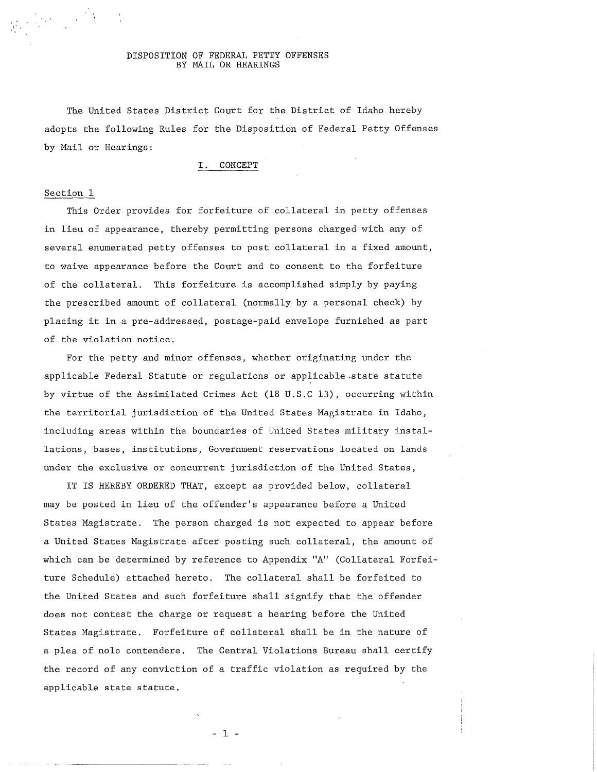### DISPOSITION OF FEDERAL PETTY OFFENSES BY MAIL OR HEARINGS

The United States District Court for the District of Idaho hereby adopts the following Rules for the Disposition of Federal Petty Offenses by Mail or Hearings:

# I. CONCEPT

# Section 1

 $\label{eq:2} \frac{1}{2}\sum_{i=1}^n\sum_{j=1}^n\frac{1}{j!}\sum_{j=1}^n\sum_{j=1}^n\frac{1}{j!}\sum_{j=1}^n\frac{1}{j!}\sum_{j=1}^n\frac{1}{j!}\sum_{j=1}^n\frac{1}{j!}\sum_{j=1}^n\frac{1}{j!}\sum_{j=1}^n\frac{1}{j!}\sum_{j=1}^n\frac{1}{j!}\sum_{j=1}^n\frac{1}{j!}\sum_{j=1}^n\frac{1}{j!}\sum_{j=1}^n\frac{1}{j!}\sum_{j=1}^n\frac{1$ 

,-'

This Order provides for forfeiture of collateral in petty offenses in lieu of appearance, thereby permitting persons charged with any of several enumerated petty offenses to post collateral in a fixed amount, to waive appearance before the Court and to consent to the forfeiture of the collateral. This forfeiture is accomplished simply by paying the prescribed amount of collateral (normally by a personal check) by placing it in a pre-addressed, postage-paid envelope furnished as part of the violation notice.

For the petty and minor offenses, whether originating under the applicable Federal Statute or regulations or applicable state statute by virtue of the Assimilated Crimes Act (18 U.S.C 13), occurring within the territorial jurisdiction of the United States Magistrate in Idaho, including areas within the boundaries of United States military installations, bases, institutions, Government reservations located on lands under the exclusive or concurrent jurisdiction of the United States,

IT IS HEREBY ORDERED THAT, except as provided below, collateral may be posted in lieu of the offender's appearance before a United States Magistrate. The person charged is not expected to appear before a United States Magistrate after posting such collateral, the amount of which can be determined by reference to Appendix "A" (Collateral Forfeiture Schedule) attached hereto. The collateral shall be forfeited to the United States and such forfeiture shall signify that the offender does not contest the charge or request a hearing before the United States Magistrate. Forfeiture of collateral shall be in the nature of a plea of nolo contendere. The Central Violations Bureau shall certify the record of any conviction of a traffic violation as required by the applicable state statute.

- 1 -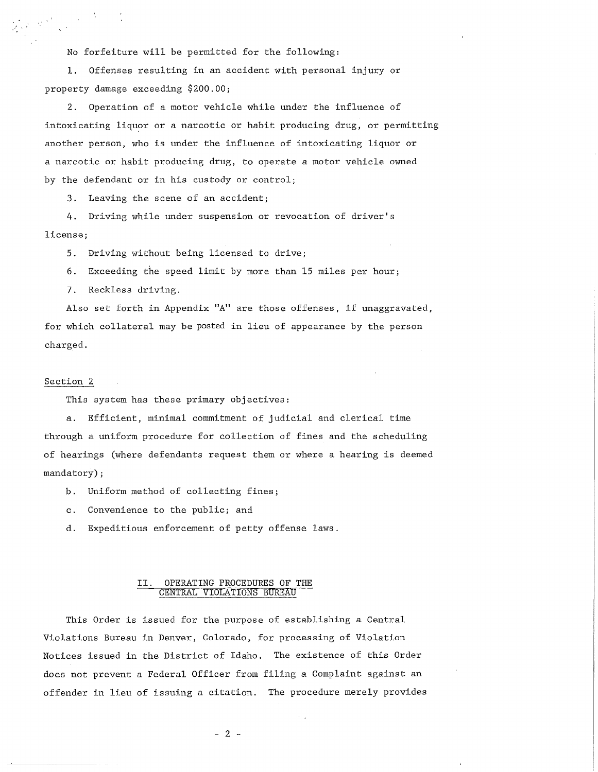No forfeiture will be permitted for the following:

1. Offenses resulting in an accident with personal injury or property damage exceeding \$200.00;

2. Operation of a motor vehicle while under the influence of intoxicating liquor or a narcotic or habit producing drug, or permitting another person, who is under the influence of intoxicating liquor or a narcotic or habit producing drug, to operate a motor vehicle owned by the defendant or in his custody or control;

3. Leaving the scene of an accident;

4. Driving while under suspension or revocation of driver's license;

5. Driving without being licensed to drive;

6. Exceeding the speed limit by more than 15 miles per hour;

7. Reckless driving.

Also set forth in Appendix "A" are those offenses, if unaggravated, for which collateral may be posted in lieu of appearance by the person charged.

# Section 2

,/ I I

This system has these primary objectives:

a. Efficient, minimal commitment of judicial and clerical time through a uniform procedure for collection of fines and the scheduling of hearings (where defendants request them or where a hearing is deemed mandatory) ;

b. Uniform method of collecting fines;

c. Convenience to the public; and

d. Expeditious enforcement of petty offense laws.

# II. OPERATING PROCEDURES OF THE CENTRAL VIOLATIONS BUREAU

This Order is issued for the purpose of establishing a Central Violations Bureau in Denver, Colorado, for processing of Violation Notices issued in the District of Idaho. The existence of this Order does not prevent a Federal Officer from filing a Complaint against an offender in lieu of issuing a citation. The procedure merely provides

 $- 2 -$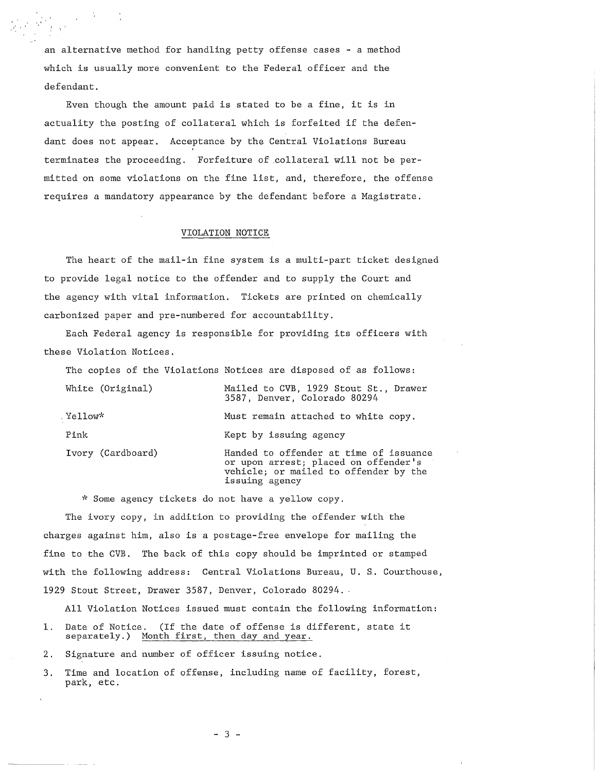an alternative method for handling petty offense cases - a method which is usually more convenient to the Federal officer and the defendant.

 $\label{eq:2} \frac{1}{2}\sum_{i=1}^N\frac{1}{\sqrt{2\pi\sigma_i^2}}\left(\frac{1}{\sigma_i^2}\right)^2\frac{1}{\sqrt{2\pi\sigma_i^2}}\left(\frac{1}{\sigma_i^2}\right)^2.$ 

Even though the amount paid is stated to be a fine, it is in actuality the posting of collateral which is forfeited if the defendant does not appear. Acceptance by the Central Violations Bureau terminates the proceeding. Forfeiture of .collateral will not be permitted on some violations on the fine list, and, therefore, the offense requires a mandatory appearance by the defendant before a Magistrate.

#### VIOLATION NOTICE

The heart of the mail-in fine system is a multi-part ticket designed to provide legal notice to the offender and to supply the Court and the agency with vital information. Tickets are printed on chemically carbonized paper and pre-numbered for accountability.

Each Federal agency is responsible for providing its officers with these Violation Notices.

The copies of the Violations Notices are disposed of as follows: White (Original) . Yellow\* Pink Ivory (Cardboard) Mailed to CVB, 1929 Stout St., Drawer 3587, Denver, Colorado 80294 Must remain attached to white copy. Kept by issuing agency Handed to offender at time of issuance or upon arrest; placed on offender's vehicle; or mailed to offender by the issuing agency

\* Some agency tickets do not have a yellow copy.

The ivory copy, in addition to providing the offender with the charges against him, also is a postage-free envelope for mailing the fine to the CVB. The back of this copy should be imprinted or stamped with the following address: Central Violations Bureau, U. S. Courthouse, 1929 Stout Street, Drawer 3587, Denver, Colorado 80294.

All Violation Notices issued must contain the following information:

1. Date of Notice. (If the date of offense is different, state it separately.) Month first, then day and year.

2. Signature and number of officer issuing notice.

3. Time and location of offense, including name of facility, forest, park, etc.

- 3 -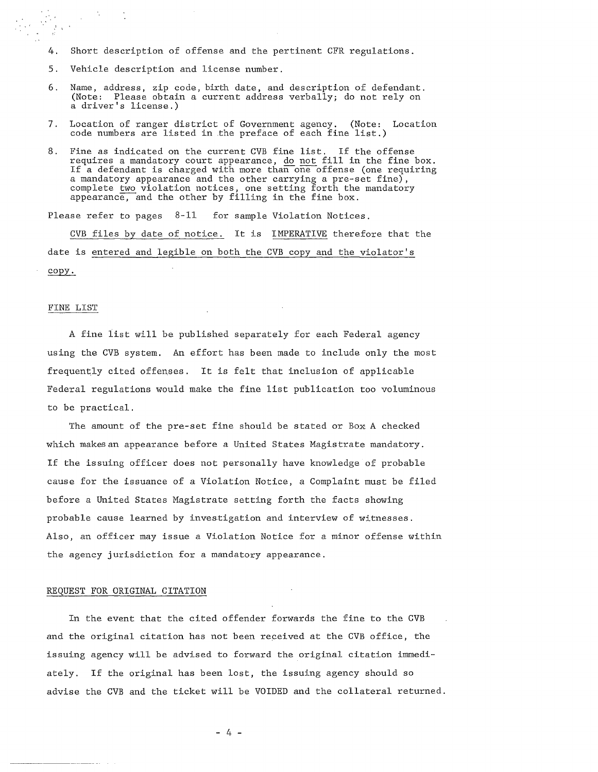- 4. Short description of offense and the pertinent CFR regulations.
- 5. Vehicle description and license number.
- 6. Name, address, zip code, birth date, and description of defendant. (Note: Please obtain a current address verbally; do not rely on a driver's license.)
- 7. Location of ranger district of Government agency. (Note: Location code numbers are listed in the preface of each fine list.)
- 8. Fine as indicated on the current CVB fine list. If the offense requires a mandatory court appearance, do not fill in the fine box. If a defendant is charged with more than one offense (one requiring a mandatory appearance and the other carrying a pre-set fine), complete two violation notices, one setting forth the mandatory appearance, and the other by filling in the fine box.

Please refer to pages 8-11 for sample Violation Notices,

CVB files by date of notice. It is IMPERATIVE therefore that the date is entered and legible on both the CVB copy and the violator's copy.

## FINE LIST

 $\frac{1}{2}$  ,  $\frac{1}{2}$ 

A fine list will be published separately for each Federal agency using the CVB system. An effort has been made to include only the most frequently cited offenses. It is felt that inclusion of applicable Federal regulations would make the fine list publication too voluminous to be practical.

The amount of the pre-set fine should be stated or Box A checked which makes an appearance before a United States Magistrate mandatory. If the issuing officer does not personally have knowledge of probable cause for the issuance of a Violation Notice, a Complaint must be filed before a United States Magistrate setting forth the facts showing probable cause learned by investigation and interview of witnesses. Also, an officer may issue a Violation Notice for a minor offense within the agency jurisdiction for a mandatory appearance.

#### REQUEST FOR ORIGINAL CITATION

In the event that the cited offender forwards the fine to the CVB and the original citation has not been received at the CVB office, the issuing agency will be advised to forward the original citation immediately. If the original has been lost, the issuing agency should so advise the CVB and the ticket will be VOIDED and the collateral returned.

 $- 4 -$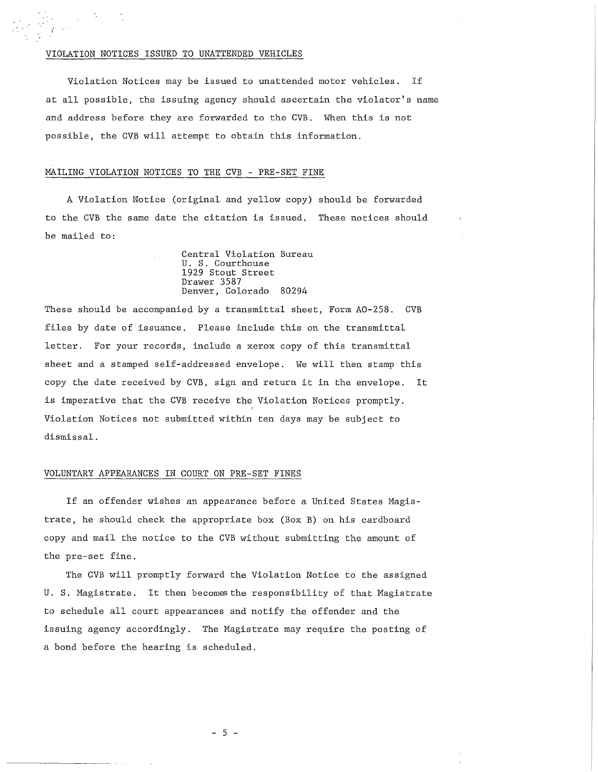## VIOLATION NOTICES ISSUED TO UNATTENDED VEHICLES

Violation Notices may be issued to unattended motor vehicles. If at all possible, the issuing agency should ascertain the violator's name and address before they are forwarded to the CVB. When this is not possible, the CVB will attempt to obtain this information.

## MAILING VIOLATION NOTICES TO THE CVB - PRE-SET FINE

A Violation Notice (original and yellow copy) should be forwarded to the CVB the same date the citation is issued. These notices should be mailed to:

> Central Violation Bureau U. S. Courthouse 1929 Stout Street Drawer 3587 Denver, Colorado 80294

These should be accompanied by a transmittal sheet, Form A0-258. CVB files by date of issuance. Please include this on the transmittal letter. For your records, include a xerox copy of this transmittal sheet and a stamped self-addressed envelope. We will then stamp this copy the date received by CVB, sign and return it in the envelope. It is imperative that the CVB receive the Violation Notices promptly. Violation Notices not submitted within ten days may be subject to dismissal.

#### VOLUNTARY APPEARANCES IN COURT ON PRE-SET FINES

If an offender wishes an appearance before a United States Magistrate, he should check the appropriate box (Box B) on his cardboard copy and mail the notice to the CVB without submitting the amount of the pre-set fine.

The CVB will promptly forward the Violation Notice to the assigned U. S. Magistrate. It then becomes the responsibility of that Magistrate to schedule all court appearances and notify the offender and the issuing agency accordingly. The Magistrate may require the posting of a bond before the hearing is scheduled.

- 5 -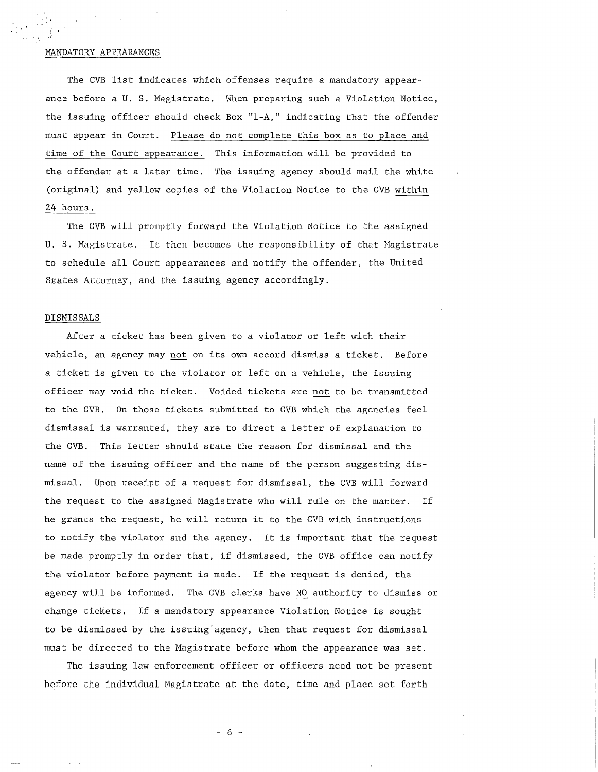## MANDATORY APPEARANCES

*<sup>i</sup>*' ,f

The CVB list indicates which offenses require a mandatory appearance before a U. S. Magistrate. When preparing such a Violation Notice, the issuing officer should check Box "1-A," indicating that the offender must appear in Court. Please do not complete this box as to place and time of the Court appearance. This information **will** be provided to the offender at a later time. The issuing agency should mail the white (original) and yellow copies of the Violation Notice to the CVB within 24 hours.

The CVB will promptly forward the Violation Notice to the assigned **U.** S. Magistrate. It then becomes the responsibility of that Magistrate to schedule all Court appearances and notify the offender, the United SEates Attorney, and the issuing agency accordingly.

# DISMISSALS

After a ticket has been given to a violator or left with their vehicle, an agency may not on its own accord dismiss a ticket. Before a ticket is given to the violator or left on a vehicle, the issuing officer may void the ticket. Voided tickets are not to be transmitted to the CVB. On those tickets submitted to CVB which the agencies feel dismissal is warranted, they are to direct a letter of explanation to the CVB. This letter should state the reason for dismissal and the name of the issuing officer and the name of the person suggesting dismissal. Upon receipt of a request for dismissal, the CVB will forward the request to the assigned Magistrate who will rule on the matter. If he grants the request, he will return it to the CVB with instructions to notify the violator and the agency. It is important that the request be made promptly in order that, if dismissed, the CVB office can notify the violator before payment is made. If the request is denied, the agency will be informed. The CVB clerks have NO authority to dismiss or change tickets. If a mandatory appearance Violation Notice is sought to be dismissed by the issuing' agency, then that request for dismissal must be directed to the Magistrate before whom the appearance was set.

The issuing law enforcement officer or officers need not be present before the individual Magistrate at the date, time and place set forth

- 6 -